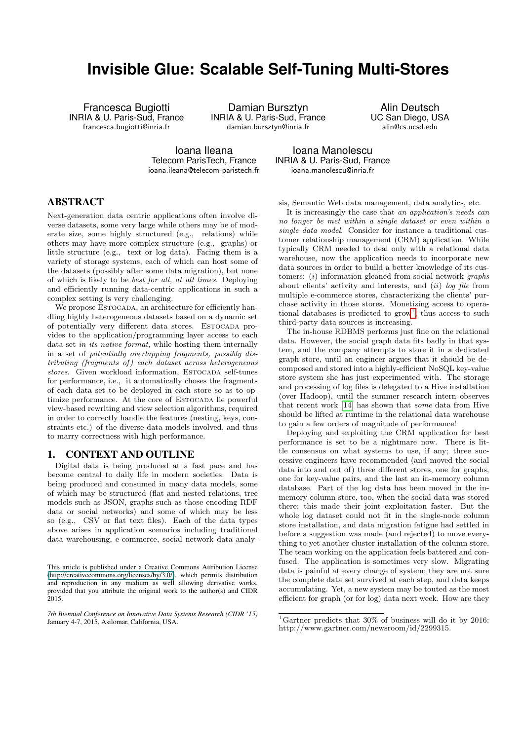# **Invisible Glue: Scalable Self-Tuning Multi-Stores**

Francesca Bugiotti INRIA & U. Paris-Sud, France francesca.bugiotti@inria.fr

Damian Bursztyn INRIA & U. Paris-Sud, France damian.bursztyn@inria.fr

Alin Deutsch UC San Diego, USA alin@cs.ucsd.edu

Ioana Ileana Telecom ParisTech, France ioana.ileana@telecom-paristech.fr

Ioana Manolescu INRIA & U. Paris-Sud, France ioana.manolescu@inria.fr

ABSTRACT

Next-generation data centric applications often involve diverse datasets, some very large while others may be of moderate size, some highly structured (e.g., relations) while others may have more complex structure (e.g., graphs) or little structure (e.g., text or log data). Facing them is a variety of storage systems, each of which can host some of the datasets (possibly after some data migration), but none of which is likely to be best for all, at all times. Deploying and efficiently running data-centric applications in such a complex setting is very challenging.

We propose ESTOCADA, an architecture for efficiently handling highly heterogeneous datasets based on a dynamic set of potentially very different data stores. Estocada provides to the application/programming layer access to each data set in its native format, while hosting them internally in a set of potentially overlapping fragments, possibly distributing (fragments of) each dataset across heterogeneous stores. Given workload information, ESTOCADA self-tunes for performance, i.e., it automatically choses the fragments of each data set to be deployed in each store so as to optimize performance. At the core of ESTOCADA lie powerful view-based rewriting and view selection algorithms, required in order to correctly handle the features (nesting, keys, constraints etc.) of the diverse data models involved, and thus to marry correctness with high performance.

## 1. CONTEXT AND OUTLINE

Digital data is being produced at a fast pace and has become central to daily life in modern societies. Data is being produced and consumed in many data models, some of which may be structured (flat and nested relations, tree models such as JSON, graphs such as those encoding RDF data or social networks) and some of which may be less so (e.g., CSV or flat text files). Each of the data types above arises in application scenarios including traditional data warehousing, e-commerce, social network data analysis, Semantic Web data management, data analytics, etc.

It is increasingly the case that an application's needs can no longer be met within a single dataset or even within a single data model. Consider for instance a traditional customer relationship management (CRM) application. While typically CRM needed to deal only with a relational data warehouse, now the application needs to incorporate new data sources in order to build a better knowledge of its customers:  $(i)$  information gleaned from social network *graphs* about clients' activity and interests, and  $(ii)$  log file from multiple e-commerce stores, characterizing the clients' purchase activity in those stores. Monetizing access to operational databases is predicted to  $\text{grow}^1$  $\text{grow}^1$ , thus access to such third-party data sources is increasing.

The in-house RDBMS performs just fine on the relational data. However, the social graph data fits badly in that system, and the company attempts to store it in a dedicated graph store, until an engineer argues that it should be decomposed and stored into a highly-efficient NoSQL key-value store system she has just experimented with. The storage and processing of log files is delegated to a Hive installation (over Hadoop), until the summer research intern observes that recent work [\[14\]](#page-6-0) has shown that some data from Hive should be lifted at runtime in the relational data warehouse to gain a few orders of magnitude of performance!

Deploying and exploiting the CRM application for best performance is set to be a nightmare now. There is little consensus on what systems to use, if any; three successive engineers have recommended (and moved the social data into and out of) three different stores, one for graphs, one for key-value pairs, and the last an in-memory column database. Part of the log data has been moved in the inmemory column store, too, when the social data was stored there; this made their joint exploitation faster. But the whole log dataset could not fit in the single-node column store installation, and data migration fatigue had settled in before a suggestion was made (and rejected) to move everything to yet another cluster installation of the column store. The team working on the application feels battered and confused. The application is sometimes very slow. Migrating data is painful at every change of system; they are not sure the complete data set survived at each step, and data keeps accumulating. Yet, a new system may be touted as the most efficient for graph (or for log) data next week. How are they

This article is published under a Creative Commons Attribution License (http://creativecommons.org/licenses/by/3.0/), which permits distribution and reproduction in any medium as well allowing derivative works, provided that you attribute the original work to the author(s) and CIDR 2015.

*<sup>7</sup>th Biennial Conference on Innovative Data Systems Research (CIDR '15)* January 4-7, 2015, Asilomar, California, USA.

<span id="page-0-0"></span><sup>&</sup>lt;sup>1</sup>Gartner predicts that  $30\%$  of business will do it by 2016: http://www.gartner.com/newsroom/id/2299315.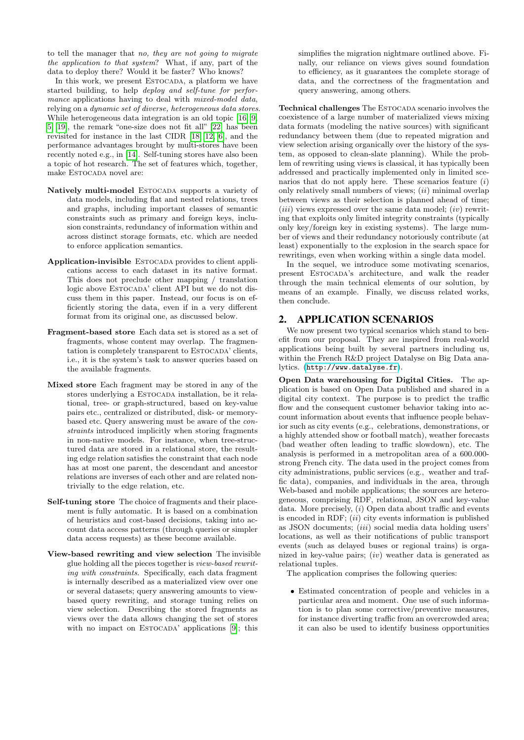to tell the manager that no, they are not going to migrate the application to that system? What, if any, part of the data to deploy there? Would it be faster? Who knows?

In this work, we present ESTOCADA, a platform we have started building, to help deploy and self-tune for performance applications having to deal with mixed-model data, relying on a dynamic set of diverse, heterogeneous data stores. While heterogeneous data integration is an old topic [\[16,](#page-6-1) [9,](#page-6-2) [5,](#page-6-3) [19\]](#page-6-4), the remark "one-size does not fit all" [\[22\]](#page-6-5) has been revisited for instance in the last CIDR [\[18,](#page-6-6) [12,](#page-6-7) [6\]](#page-6-8), and the performance advantages brought by multi-stores have been recently noted e.g., in [\[14\]](#page-6-0). Self-tuning stores have also been a topic of hot research. The set of features which, together, make ESTOCADA novel are:

- Natively multi-model ESTOCADA supports a variety of data models, including flat and nested relations, trees and graphs, including important classes of semantic constraints such as primary and foreign keys, inclusion constraints, redundancy of information within and across distinct storage formats, etc. which are needed to enforce application semantics.
- Application-invisible ESTOCADA provides to client applications access to each dataset in its native format. This does not preclude other mapping / translation logic above ESTOCADA' client API but we do not discuss them in this paper. Instead, our focus is on efficiently storing the data, even if in a very different format from its original one, as discussed below.
- Fragment-based store Each data set is stored as a set of fragments, whose content may overlap. The fragmentation is completely transparent to ESTOCADA' clients, i.e., it is the system's task to answer queries based on the available fragments.
- Mixed store Each fragment may be stored in any of the stores underlying a ESTOCADA installation, be it relational, tree- or graph-structured, based on key-value pairs etc., centralized or distributed, disk- or memorybased etc. Query answering must be aware of the constraints introduced implicitly when storing fragments in non-native models. For instance, when tree-structured data are stored in a relational store, the resulting edge relation satisfies the constraint that each node has at most one parent, the descendant and ancestor relations are inverses of each other and are related nontrivially to the edge relation, etc.
- Self-tuning store The choice of fragments and their placement is fully automatic. It is based on a combination of heuristics and cost-based decisions, taking into account data access patterns (through queries or simpler data access requests) as these become available.
- View-based rewriting and view selection The invisible glue holding all the pieces together is view-based rewriting with constraints. Specifically, each data fragment is internally described as a materialized view over one or several datasets; query answering amounts to viewbased query rewriting, and storage tuning relies on view selection. Describing the stored fragments as views over the data allows changing the set of stores with no impact on ESTOCADA' applications [\[9\]](#page-6-2); this

simplifies the migration nightmare outlined above. Finally, our reliance on views gives sound foundation to efficiency, as it guarantees the complete storage of data, and the correctness of the fragmentation and query answering, among others.

Technical challenges The ESTOCADA scenario involves the coexistence of a large number of materialized views mixing data formats (modeling the native sources) with significant redundancy between them (due to repeated migration and view selection arising organically over the history of the system, as opposed to clean-slate planning). While the problem of rewriting using views is classical, it has typically been addressed and practically implemented only in limited scenarios that do not apply here. These scenarios feature  $(i)$ only relatively small numbers of views;  $(ii)$  minimal overlap between views as their selection is planned ahead of time;  $(iii)$  views expressed over the same data model;  $(iv)$  rewriting that exploits only limited integrity constraints (typically only key/foreign key in existing systems). The large number of views and their redundancy notoriously contribute (at least) exponentially to the explosion in the search space for rewritings, even when working within a single data model.

In the sequel, we introduce some motivating scenarios, present Estocada's architecture, and walk the reader through the main technical elements of our solution, by means of an example. Finally, we discuss related works, then conclude.

# 2. APPLICATION SCENARIOS

We now present two typical scenarios which stand to benefit from our proposal. They are inspired from real-world applications being built by several partners including us, within the French R&D project Datalyse on Big Data analytics. (<http://www.datalyse.fr>).

Open Data warehousing for Digital Cities. The application is based on Open Data published and shared in a digital city context. The purpose is to predict the traffic flow and the consequent customer behavior taking into account information about events that influence people behavior such as city events (e.g., celebrations, demonstrations, or a highly attended show or football match), weather forecasts (bad weather often leading to traffic slowdown), etc. The analysis is performed in a metropolitan area of a 600.000 strong French city. The data used in the project comes from city administrations, public services (e.g., weather and traffic data), companies, and individuals in the area, through Web-based and mobile applications; the sources are heterogeneous, comprising RDF, relational, JSON and key-value data. More precisely, (*i*) Open data about traffic and events is encoded in RDF;  $(ii)$  city events information is published as JSON documents; (iii) social media data holding users' locations, as well as their notifications of public transport events (such as delayed buses or regional trains) is organized in key-value pairs;  $(iv)$  weather data is generated as relational tuples.

The application comprises the following queries:

• Estimated concentration of people and vehicles in a particular area and moment. One use of such information is to plan some corrective/preventive measures, for instance diverting traffic from an overcrowded area; it can also be used to identify business opportunities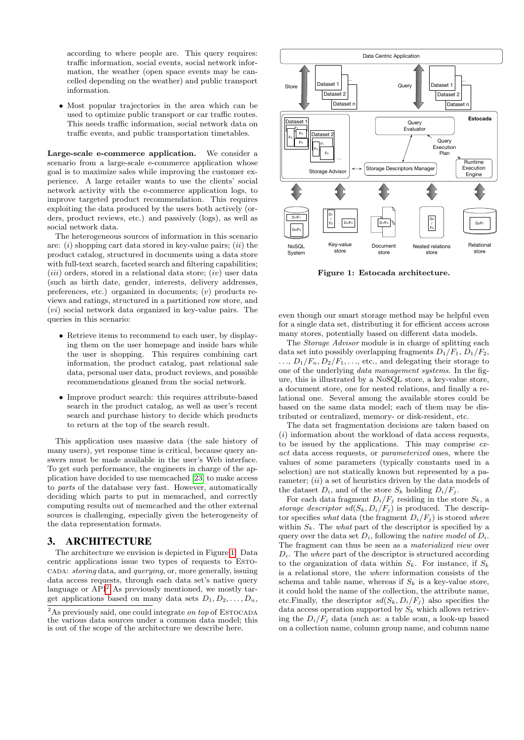according to where people are. This query requires: traffic information, social events, social network information, the weather (open space events may be cancelled depending on the weather) and public transport information.

• Most popular trajectories in the area which can be used to optimize public transport or car traffic routes. This needs traffic information, social network data on traffic events, and public transportation timetables.

Large-scale e-commerce application. We consider a scenario from a large-scale e-commerce application whose goal is to maximize sales while improving the customer experience. A large retailer wants to use the clients' social network activity with the e-commerce application logs, to improve targeted product recommendation. This requires exploiting the data produced by the users both actively (orders, product reviews, etc.) and passively (logs), as well as social network data.

The heterogeneous sources of information in this scenario are:  $(i)$  shopping cart data stored in key-value pairs;  $(ii)$  the product catalog, structured in documents using a data store with full-text search, faceted search and filtering capabilities;  $(iii)$  orders, stored in a relational data store;  $(iv)$  user data (such as birth date, gender, interests, delivery addresses, preferences, etc.) organized in documents; (v) products reviews and ratings, structured in a partitioned row store, and (vi) social network data organized in key-value pairs. The queries in this scenario:

- Retrieve items to recommend to each user, by displaying them on the user homepage and inside bars while the user is shopping. This requires combining cart information, the product catalog, past relational sale data, personal user data, product reviews, and possible recommendations gleaned from the social network.
- Improve product search: this requires attribute-based search in the product catalog, as well as user's recent search and purchase history to decide which products to return at the top of the search result.

This application uses massive data (the sale history of many users), yet response time is critical, because query answers must be made available in the user's Web interface. To get such performance, the engineers in charge of the application have decided to use memcached [\[23\]](#page-6-9) to make access to parts of the database very fast. However, automatically deciding which parts to put in memcached, and correctly computing results out of memcached and the other external sources is challenging, especially given the heterogeneity of the data representation formats.

## 3. ARCHITECTURE

The architecture we envision is depicted in Figure [1.](#page-2-0) Data centric applications issue two types of requests to ESTOcada: storing data, and querying, or, more generally, issuing data access requests, through each data set's native query language or  $API<sup>2</sup>$  $API<sup>2</sup>$  $API<sup>2</sup>$  As previously mentioned, we mostly target applications based on many data sets  $D_1, D_2, \ldots, D_n$ ,



<span id="page-2-0"></span>Figure 1: Estocada architecture.

even though our smart storage method may be helpful even for a single data set, distributing it for efficient access across many stores, potentially based on different data models.

The *Storage Advisor* module is in charge of splitting each data set into possibly overlapping fragments  $D_1/F_1$ ,  $D_1/F_2$ ,  $\ldots, D_1/F_n, D_2/F_1, \ldots$ , etc., and delegating their storage to one of the underlying data management systems. In the figure, this is illustrated by a NoSQL store, a key-value store, a document store, one for nested relations, and finally a relational one. Several among the available stores could be based on the same data model; each of them may be distributed or centralized, memory- or disk-resident, etc.

The data set fragmentation decisions are taken based on  $(i)$  information about the workload of data access requests, to be issued by the applications. This may comprise exact data access requests, or parameterized ones, where the values of some parameters (typically constants used in a selection) are not statically known but represented by a parameter;  $(ii)$  a set of heuristics driven by the data models of the dataset  $D_i$ , and of the store  $S_k$  holding  $D_i/F_i$ .

For each data fragment  $D_i/F_j$  residing in the store  $S_k$ , a storage descriptor  $sd(S_k, D_i/F_i)$  is produced. The descriptor specifies what data (the fragment  $D_i/F_i$ ) is stored where within  $S_k$ . The *what* part of the descriptor is specified by a query over the data set  $D_i$ , following the native model of  $D_i$ . The fragment can thus be seen as a materialized view over  $D_i$ . The *where* part of the descriptor is structured according to the organization of data within  $S_k$ . For instance, if  $S_k$ is a relational store, the where information consists of the schema and table name, whereas if  $S_k$  is a key-value store, it could hold the name of the collection, the attribute name, etc.Finally, the descriptor  $sd(S_k, D_i/F_j)$  also specifies the data access operation supported by  $S_k$  which allows retrieving the  $D_i/F_i$  data (such as: a table scan, a look-up based on a collection name, column group name, and column name

<span id="page-2-1"></span> $\sqrt[2]{\text{As} \text{ previously said}}$ , one could integrate on top of ESTOCADA the various data sources under a common data model; this is out of the scope of the architecture we describe here.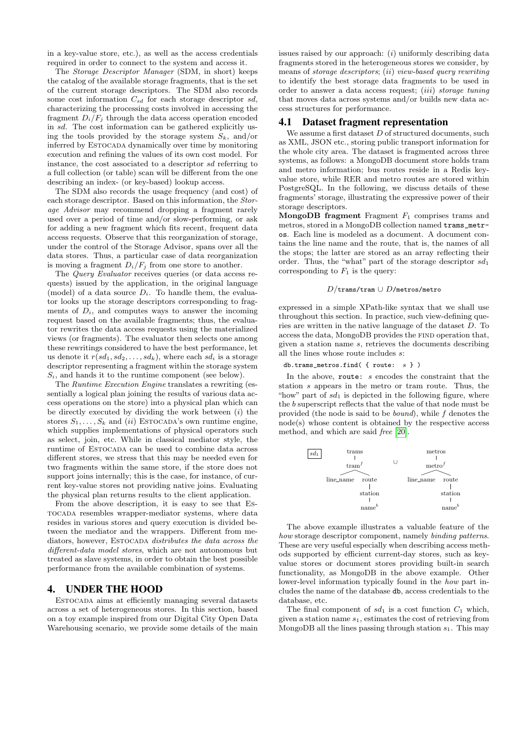in a key-value store, etc.), as well as the access credentials required in order to connect to the system and access it.

The Storage Descriptor Manager (SDM, in short) keeps the catalog of the available storage fragments, that is the set of the current storage descriptors. The SDM also records some cost information  $C_{sd}$  for each storage descriptor  $sd$ , characterizing the processing costs involved in accessing the fragment  $D_i/F_i$  through the data access operation encoded in sd. The cost information can be gathered explicitly using the tools provided by the storage system  $S_k$ , and/or inferred by ESTOCADA dynamically over time by monitoring execution and refining the values of its own cost model. For instance, the cost associated to a descriptor sd referring to a full collection (or table) scan will be different from the one describing an index- (or key-based) lookup access.

The SDM also records the usage frequency (and cost) of each storage descriptor. Based on this information, the Storage Advisor may recommend dropping a fragment rarely used over a period of time and/or slow-performing, or ask for adding a new fragment which fits recent, frequent data access requests. Observe that this reorganization of storage, under the control of the Storage Advisor, spans over all the data stores. Thus, a particular case of data reorganization is moving a fragment  $D_i/F_i$  from one store to another.

The Query Evaluator receives queries (or data access requests) issued by the application, in the original language (model) of a data source  $D_i$ . To handle them, the evaluator looks up the storage descriptors corresponding to fragments of  $D_i$ , and computes ways to answer the incoming request based on the available fragments; thus, the evaluator rewrites the data access requests using the materialized views (or fragments). The evaluator then selects one among these rewritings considered to have the best performance, let us denote it  $r(sd_1, sd_2, \ldots, sd_k)$ , where each  $sd_i$  is a storage descriptor representing a fragment within the storage system  $S_i$ , and hands it to the runtime component (see below).

The Runtime Execution Engine translates a rewriting (essentially a logical plan joining the results of various data access operations on the store) into a physical plan which can be directly executed by dividing the work between  $(i)$  the stores  $S_1, \ldots, S_k$  and (ii) ESTOCADA's own runtime engine, which supplies implementations of physical operators such as select, join, etc. While in classical mediator style, the runtime of ESTOCADA can be used to combine data across different stores, we stress that this may be needed even for two fragments within the same store, if the store does not support joins internally; this is the case, for instance, of current key-value stores not providing native joins. Evaluating the physical plan returns results to the client application.

From the above description, it is easy to see that Estocada resembles wrapper-mediator systems, where data resides in various stores and query execution is divided between the mediator and the wrappers. Different from mediators, however, ESTOCADA distributes the data across the different-data model stores, which are not autonomous but treated as slave systems, in order to obtain the best possible performance from the available combination of systems.

# 4. UNDER THE HOOD

Estocada aims at efficiently managing several datasets across a set of heterogeneous stores. In this section, based on a toy example inspired from our Digital City Open Data Warehousing scenario, we provide some details of the main

issues raised by our approach:  $(i)$  uniformly describing data fragments stored in the heterogeneous stores we consider, by means of storage descriptors; (ii) view-based query rewriting to identify the best storage data fragments to be used in order to answer a data access request; (iii) storage tuning that moves data across systems and/or builds new data access structures for performance.

#### 4.1 Dataset fragment representation

We assume a first dataset  $D$  of structured documents, such as XML, JSON etc., storing public transport information for the whole city area. The dataset is fragmented across three systems, as follows: a MongoDB document store holds tram and metro information; bus routes reside in a Redis keyvalue store, while RER and metro routes are stored within PostgreSQL. In the following, we discuss details of these fragments' storage, illustrating the expressive power of their storage descriptors.

MongoDB fragment Fragment  $F_1$  comprises trams and metros, stored in a MongoDB collection named trams\_metros. Each line is modeled as a document. A document contains the line name and the route, that is, the names of all the stops; the latter are stored as an array reflecting their order. Thus, the "what" part of the storage descriptor  $sd_1$ corresponding to  $F_1$  is the query:

#### D/trams/tram ∪ D/metros/metro

expressed in a simple XPath-like syntax that we shall use throughout this section. In practice, such view-defining queries are written in the native language of the dataset D. To access the data, MongoDB provides the find operation that, given a station name s, retrieves the documents describing all the lines whose route includes s:

#### db.trams\_metros.find( { route: s } )

In the above, route: s encodes the constraint that the station s appears in the metro or tram route. Thus, the "how" part of  $sd_1$  is depicted in the following figure, where the b superscript reflects that the value of that node must be provided (the node is said to be bound), while f denotes the node(s) whose content is obtained by the respective access method, and which are said free [\[20\]](#page-6-10).



The above example illustrates a valuable feature of the how storage descriptor component, namely binding patterns. These are very useful especially when describing access methods supported by efficient current-day stores, such as keyvalue stores or document stores providing built-in search functionality, as MongoDB in the above example. Other lower-level information typically found in the how part includes the name of the database db, access credentials to the database, etc.

The final component of  $sd_1$  is a cost function  $C_1$  which, given a station name  $s_1$ , estimates the cost of retrieving from MongoDB all the lines passing through station  $s_1$ . This may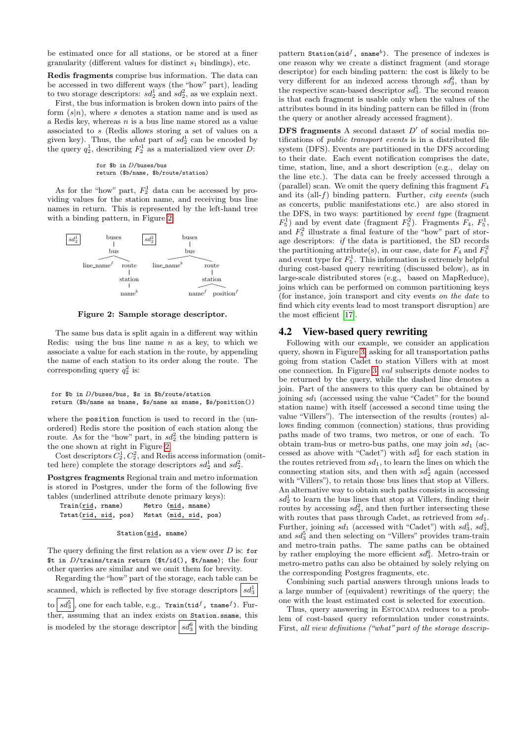be estimated once for all stations, or be stored at a finer granularity (different values for distinct  $s_1$  bindings), etc.

Redis fragments comprise bus information. The data can be accessed in two different ways (the "how" part), leading to two storage descriptors:  $sd_2^1$  and  $sd_2^2$ , as we explain next.

First, the bus information is broken down into pairs of the form  $(s|n)$ , where s denotes a station name and is used as a Redis key, whereas  $n$  is a bus line name stored as a value associated to s (Redis allows storing a set of values on a given key). Thus, the *what* part of  $sd_2^1$  can be encoded by the query  $q_2^1$ , describing  $F_2^1$  as a materialized view over D:

> for \$b in  $D$ /buses/bus return (\$b/name, \$b/route/station)

As for the "how" part,  $F_2^1$  data can be accessed by providing values for the station name, and receiving bus line names in return. This is represented by the left-hand tree with a binding pattern, in Figure [2.](#page-4-0)



<span id="page-4-0"></span>Figure 2: Sample storage descriptor.

The same bus data is split again in a different way within Redis: using the bus line name  $n$  as a key, to which we associate a value for each station in the route, by appending the name of each station to its order along the route. The corresponding query  $q_2^2$  is:

```
for $b in D/buses/bus, $s in $b/route/station
return ($b/name as bname, $s/name as sname, $s/position())
```
where the position function is used to record in the (unordered) Redis store the position of each station along the route. As for the "how" part, in  $sd_2^2$  the binding pattern is the one shown at right in Figure [2.](#page-4-0)

Cost descriptors  $C_2^1, C_2^2$ , and Redis access information (omitted here) complete the storage descriptors  $sd_2^1$  and  $sd_2^2$ .

Postgres fragments Regional train and metro information is stored in Postgres, under the form of the following five tables (underlined attribute denote primary keys):

| Train(rid, rname) |                                            |  | Metro (mid, mname) |
|-------------------|--------------------------------------------|--|--------------------|
|                   | Tstat(rid, sid, pos) Mstat (mid, sid, pos) |  |                    |

#### Station(sid, sname)

The query defining the first relation as a view over  $D$  is: for \$t in D/trains/train return (\$t/id(), \$t/name); the four other queries are similar and we omit them for brevity.

Regarding the "how" part of the storage, each table can be scanned, which is reflected by five storage descriptors  $\left| s d_3^1 \right|$ to  $\left| \mathit{sd}_3^5 \right|$ , one for each table, e.g., Train(tid $^f$ , tname $^f$ ). Further, assuming that an index exists on Station.sname, this is modeled by the storage descriptor  $|sd_3^6|$  with the binding

pattern Station(sid<sup>f</sup>, sname<sup>b</sup>). The presence of indexes is one reason why we create a distinct fragment (and storage descriptor) for each binding pattern: the cost is likely to be very different for an indexed access through  $sd_3^6$ , than by the respective scan-based descriptor  $sd_3^5$ . The second reason is that each fragment is usable only when the values of the attributes bound in its binding pattern can be filled in (from the query or another already accessed fragment).

**DFS** fragments A second dataset  $D'$  of social media notifications of public transport events is in a distributed file system (DFS). Events are partitioned in the DFS according to their date. Each event notification comprises the date, time, station, line, and a short description (e.g., delay on the line etc.). The data can be freely accessed through a (parallel) scan. We omit the query defining this fragment  $F_4$ and its (all- $f$ ) binding pattern. Further, *city events* (such as concerts, public manifestations etc.) are also stored in the DFS, in two ways: partitioned by event type (fragment  $F_5^1$ ) and by event date (fragment  $F_5^2$ ). Fragments  $F_4$ ,  $F_5^1$ , and  $F_5^2$  illustrate a final feature of the "how" part of storage descriptors: if the data is partitioned, the SD records the partitioning attribute(s), in our case, date for  $F_4$  and  $F_5^2$ and event type for  $F_5^1$ . This information is extremely helpful during cost-based query rewriting (discussed below), as in large-scale distributed stores (e.g., based on MapReduce), joins which can be performed on common partitioning keys (for instance, join transport and city events on the date to find which city events lead to most transport disruption) are the most efficient [\[17\]](#page-6-11).

#### 4.2 View-based query rewriting

Following with our example, we consider an application query, shown in Figure [3,](#page-5-0) asking for all transportation paths going from station Cadet to station Villers with at most one connection. In Figure [3,](#page-5-0) val subscripts denote nodes to be returned by the query, while the dashed line denotes a join. Part of the answers to this query can be obtained by joining  $sd_1$  (accessed using the value "Cadet" for the bound station name) with itself (accessed a second time using the value "Villers"). The intersection of the results (routes) allows finding common (connection) stations, thus providing paths made of two trams, two metros, or one of each. To obtain tram-bus or metro-bus paths, one may join  $sd_1$  (accessed as above with "Cadet") with  $sd_2^1$  for each station in the routes retrieved from  $sd_1$ , to learn the lines on which the connecting station sits, and then with  $sd_2^1$  again (accessed with "Villers"), to retain those bus lines that stop at Villers. An alternative way to obtain such paths consists in accessing  $sd_2^1$  to learn the bus lines that stop at Villers, finding their routes by accessing  $sd_2^2$ , and then further intersecting these with routes that pass through Cadet, as retrieved from  $sd_1$ . Further, joining  $sd_1$  (accessed with "Cadet") with  $sd_3^1$ ,  $sd_3^3$ , and  $sd_3^5$  and then selecting on "Villers" provides tram-train and metro-train paths. The same paths can be obtained by rather employing the more efficient  $sd_3^6$ . Metro-train or metro-metro paths can also be obtained by solely relying on the corresponding Postgres fragments, etc.

Combining such partial answers through unions leads to a large number of (equivalent) rewritings of the query; the one with the least estimated cost is selected for execution.

Thus, query answering in ESTOCADA reduces to a problem of cost-based query reformulation under constraints. First, all view definitions ("what" part of the storage descrip-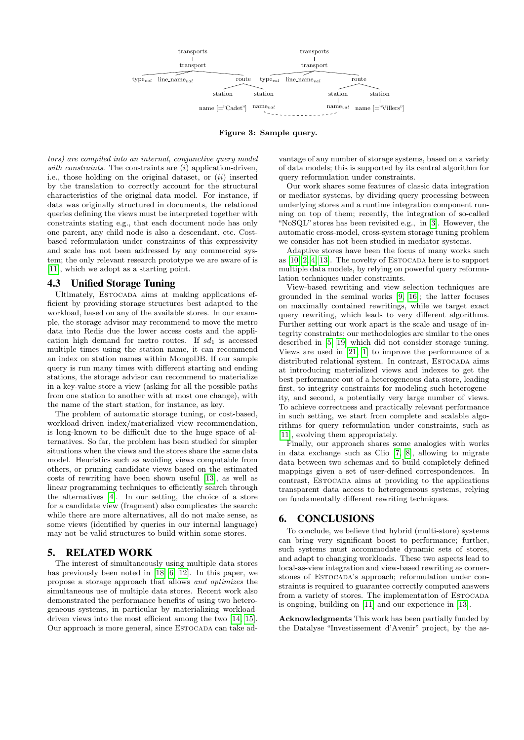

Figure 3: Sample query.

tors) are compiled into an internal, conjunctive query model with constraints. The constraints are  $(i)$  application-driven, i.e., those holding on the original dataset, or  $(ii)$  inserted by the translation to correctly account for the structural characteristics of the original data model. For instance, if data was originally structured in documents, the relational queries defining the views must be interpreted together with constraints stating e.g., that each document node has only one parent, any child node is also a descendant, etc. Costbased reformulation under constraints of this expressivity and scale has not been addressed by any commercial system; the only relevant research prototype we are aware of is [\[11\]](#page-6-12), which we adopt as a starting point.

## 4.3 Unified Storage Tuning

Ultimately, ESTOCADA aims at making applications efficient by providing storage structures best adapted to the workload, based on any of the available stores. In our example, the storage advisor may recommend to move the metro data into Redis due the lower access costs and the application high demand for metro routes. If  $sd_1$  is accessed multiple times using the station name, it can recommend an index on station names within MongoDB. If our sample query is run many times with different starting and ending stations, the storage advisor can recommend to materialize in a key-value store a view (asking for all the possible paths from one station to another with at most one change), with the name of the start station, for instance, as key.

The problem of automatic storage tuning, or cost-based, workload-driven index/materialized view recommendation, is long-known to be difficult due to the huge space of alternatives. So far, the problem has been studied for simpler situations when the views and the stores share the same data model. Heuristics such as avoiding views computable from others, or pruning candidate views based on the estimated costs of rewriting have been shown useful [\[13\]](#page-6-13), as well as linear programming techniques to efficiently search through the alternatives [\[4\]](#page-6-14). In our setting, the choice of a store for a candidate view (fragment) also complicates the search: while there are more alternatives, all do not make sense, as some views (identified by queries in our internal language) may not be valid structures to build within some stores.

## 5. RELATED WORK

The interest of simultaneously using multiple data stores has previously been noted in [\[18,](#page-6-6) [6,](#page-6-8) [12\]](#page-6-7). In this paper, we propose a storage approach that allows and optimizes the simultaneous use of multiple data stores. Recent work also demonstrated the performance benefits of using two heterogeneous systems, in particular by materializing workloaddriven views into the most efficient among the two [\[14,](#page-6-0) [15\]](#page-6-15). Our approach is more general, since ESTOCADA can take ad-

<span id="page-5-0"></span>vantage of any number of storage systems, based on a variety of data models; this is supported by its central algorithm for query reformulation under constraints.

Our work shares some features of classic data integration or mediator systems, by dividing query processing between underlying stores and a runtime integration component running on top of them; recently, the integration of so-called "NoSQL" stores has been revisited e.g., in [\[3\]](#page-6-16). However, the automatic cross-model, cross-system storage tuning problem we consider has not been studied in mediator systems.

Adaptive stores have been the focus of many works such as  $[10, 2, 4, 13]$  $[10, 2, 4, 13]$  $[10, 2, 4, 13]$  $[10, 2, 4, 13]$ . The novelty of ESTOCADA here is to support multiple data models, by relying on powerful query reformulation techniques under constraints.

View-based rewriting and view selection techniques are grounded in the seminal works [\[9,](#page-6-2) [16\]](#page-6-1); the latter focuses on maximally contained rewritings, while we target exact query rewriting, which leads to very different algorithms. Further setting our work apart is the scale and usage of integrity constraints; our methodologies are similar to the ones described in [\[5,](#page-6-3) [19\]](#page-6-4) which did not consider storage tuning. Views are used in [\[21,](#page-6-19) [1\]](#page-6-20) to improve the performance of a distributed relational system. In contrast, ESTOCADA aims at introducing materialized views and indexes to get the best performance out of a heterogeneous data store, leading first, to integrity constraints for modeling such heterogeneity, and second, a potentially very large number of views. To achieve correctness and practically relevant performance in such setting, we start from complete and scalable algorithms for query reformulation under constraints, such as [\[11\]](#page-6-12), evolving them appropriately.

Finally, our approach shares some analogies with works in data exchange such as Clio [\[7,](#page-6-21) [8\]](#page-6-22), allowing to migrate data between two schemas and to build completely defined mappings given a set of user-defined correspondences. In contrast, ESTOCADA aims at providing to the applications transparent data access to heterogeneous systems, relying on fundamentally different rewriting techniques.

## 6. CONCLUSIONS

To conclude, we believe that hybrid (multi-store) systems can bring very significant boost to performance; further, such systems must accommodate dynamic sets of stores, and adapt to changing workloads. These two aspects lead to local-as-view integration and view-based rewriting as cornerstones of ESTOCADA's approach; reformulation under constraints is required to guarantee correctly computed answers from a variety of stores. The implementation of ESTOCADA is ongoing, building on [\[11\]](#page-6-12) and our experience in [\[13\]](#page-6-13).

Acknowledgments This work has been partially funded by the Datalyse "Investissement d'Avenir" project, by the as